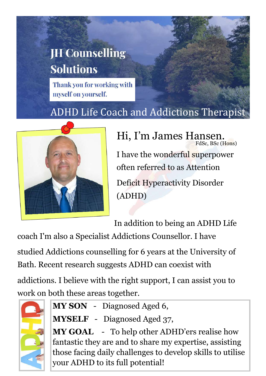## **JH Counselling Solutions**

Thank you for working with myself on yourself.

## ADHD Life Coach and Addictions Therapist



FdSc, BSc (Hons) Hi, I'm James Hansen. I have the wonderful superpower often referred to as Attention Deficit Hyperactivity Disorder (ADHD)

In addition to being an ADHD Life

coach I'm also a Specialist Addictions Counsellor. I have

studied Addictions counselling for 6 years at the University of Bath. Recent research suggests ADHD can coexist with

addictions. I believe with the right support, I can assist you to work on both these areas together.



- **MY SON**  Diagnosed Aged 6,
- **MYSELF**  Diagnosed Aged 37,

**MY GOAL** - To help other ADHD'ers realise how fantastic they are and to share my expertise, assisting those facing daily challenges to develop skills to utilise your ADHD to its full potential!